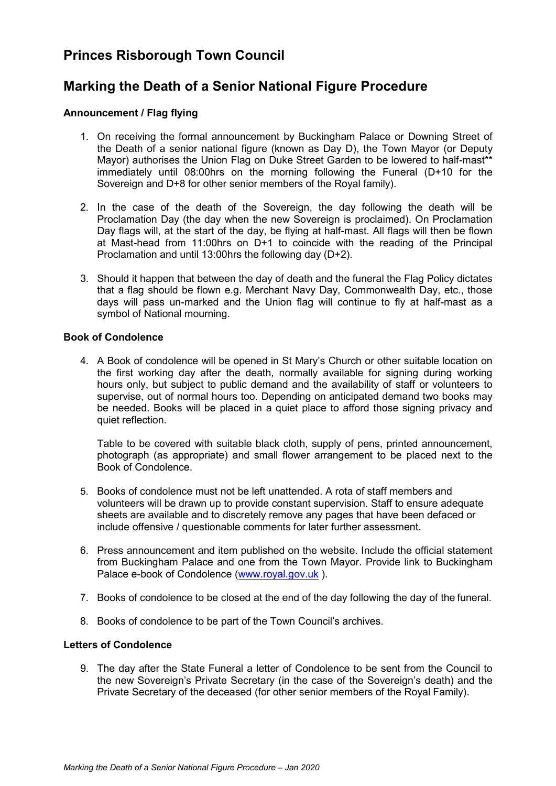# **Princes Risborough Town Council**

# **Marking the Death of a Senior National Figure Procedure**

# **Announcement / Flag flying**

- 1. On receiving the formal announcement by Buckingham Palace or Downing Street of the Death of a senior national figure (known as Day D), the Town Mayor (or Deputy Mayor) authorises the Union Flag on Duke Street Garden to be lowered to half-mast\*\* immediately until 08:00hrs on the morning following the Funeral (D+10 for the Sovereign and D+8 for other senior members of the Royal family).
- 2. In the case of the death of the Sovereign, the day following the death will be Proclamation Day (the day when the new Sovereign is proclaimed). On Proclamation Day flags will, at the start of the day, be flying at half-mast. All flags will then be flown at Mast-head from 11:00hrs on D+1 to coincide with the reading of the Principal Proclamation and until 13:00hrs the following day (D+2).
- 3. Should it happen that between the day of death and the funeral the Flag Policy dictates that a flag should be flown e.g. Merchant Navy Day, Commonwealth Day, etc., those days will pass un-marked and the Union flag will continue to fly at half-mast as a symbol of National mourning.

# **Book of Condolence**

4. A Book of condolence will be opened in St Mary's Church or other suitable location on the first working day after the death, normally available for signing during working hours only, but subject to public demand and the availability of staff or volunteers to supervise, out of normal hours too. Depending on anticipated demand two books may be needed. Books will be placed in a quiet place to afford those signing privacy and quiet reflection.

Table to be covered with suitable black cloth, supply of pens, printed announcement, photograph (as appropriate) and small flower arrangement to be placed next to the Book of Condolence.

- 5. Books of condolence must not be left unattended. A rota of staff members and volunteers will be drawn up to provide constant supervision. Staff to ensure adequate sheets are available and to discretely remove any pages that have been defaced or include offensive / questionable comments for later further assessment.
- 6. Press announcement and item published on the website. Include the official statement from Buckingham Palace and one from the Town Mayor. Provide link to Buckingham Palace e-book of Condolence [\(www.royal.gov.uk](http://www.royal.gov.uk/) ).
- 7. Books of condolence to be closed at the end of the day following the day of the funeral.
- 8. Books of condolence to be part of the Town Council's archives.

# **Letters of Condolence**

9. The day after the State Funeral a letter of Condolence to be sent from the Council to the new Sovereign's Private Secretary (in the case of the Sovereign's death) and the Private Secretary of the deceased (for other senior members of the Royal Family).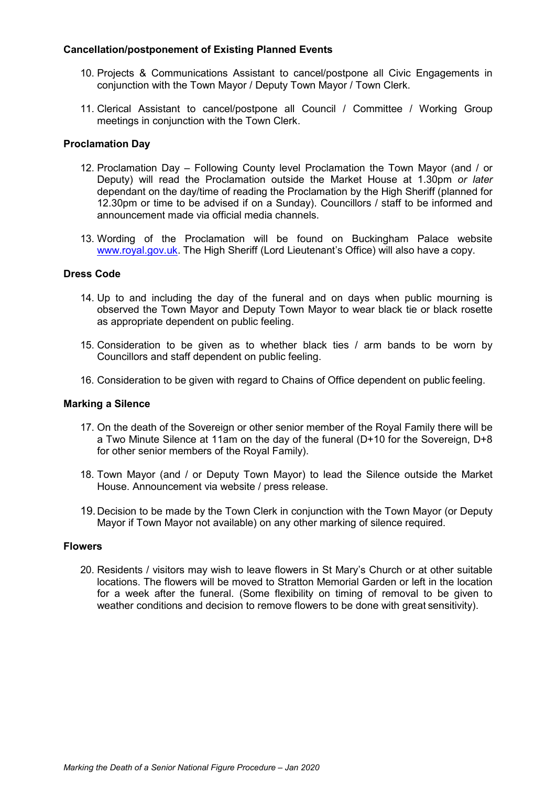### **Cancellation/postponement of Existing Planned Events**

- 10. Projects & Communications Assistant to cancel/postpone all Civic Engagements in conjunction with the Town Mayor / Deputy Town Mayor / Town Clerk.
- 11. Clerical Assistant to cancel/postpone all Council / Committee / Working Group meetings in conjunction with the Town Clerk.

### **Proclamation Day**

- 12. Proclamation Day Following County level Proclamation the Town Mayor (and / or Deputy) will read the Proclamation outside the Market House at 1.30pm *or later*  dependant on the day/time of reading the Proclamation by the High Sheriff (planned for 12.30pm or time to be advised if on a Sunday). Councillors / staff to be informed and announcement made via official media channels.
- 13. Wording of the Proclamation will be found on Buckingham Palace website www.royal.gov.uk. The High Sheriff (Lord Lieutenant's Office) will also have a copy.

#### **Dress Code**

- 14. Up to and including the day of the funeral and on days when public mourning is observed the Town Mayor and Deputy Town Mayor to wear black tie or black rosette as appropriate dependent on public feeling.
- 15. Consideration to be given as to whether black ties / arm bands to be worn by Councillors and staff dependent on public feeling.
- 16. Consideration to be given with regard to Chains of Office dependent on public feeling.

#### **Marking a Silence**

- 17. On the death of the Sovereign or other senior member of the Royal Family there will be a Two Minute Silence at 11am on the day of the funeral (D+10 for the Sovereign, D+8 for other senior members of the Royal Family).
- 18. Town Mayor (and / or Deputy Town Mayor) to lead the Silence outside the Market House. Announcement via website / press release.
- 19. Decision to be made by the Town Clerk in conjunction with the Town Mayor (or Deputy Mayor if Town Mayor not available) on any other marking of silence required.

#### **Flowers**

20. Residents / visitors may wish to leave flowers in St Mary's Church or at other suitable locations. The flowers will be moved to Stratton Memorial Garden or left in the location for a week after the funeral. (Some flexibility on timing of removal to be given to weather conditions and decision to remove flowers to be done with great sensitivity).